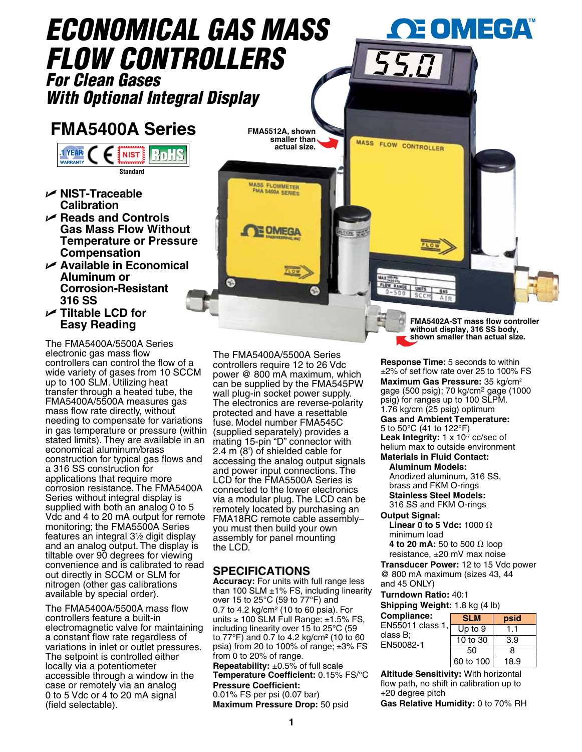

The FMA5400A/5500A Series electronic gas mass flow controllers can control the flow of a wide variety of gases from 10 SCCM up to 100 SLM. Utilizing heat transfer through a heated tube, the FMA5400A/5500A measures gas mass flow rate directly, without needing to compensate for variations in gas temperature or pressure (within stated limits). They are available in an economical aluminum/brass construction for typical gas flows and a 316 SS construction for applications that require more corrosion resistance. The FMA5400A Series without integral display is supplied with both an analog 0 to 5 Vdc and 4 to 20 mA output for remote monitoring; the FMA5500A Series features an integral  $3\frac{1}{2}$  digit display and an analog output. The display is tiltable over 90 degrees for viewing convenience and is calibrated to read out directly in SCCM or SLM for nitrogen (other gas calibrations available by special order).

The FMA5400A/5500A mass flow controllers feature a built-in electromagnetic valve for maintaining a constant flow rate regardless of variations in inlet or outlet pressures. The setpoint is controlled either locally via a potentiometer accessible through a window in the case or remotely via an analog 0 to 5 Vdc or 4 to 20 mA signal (field selectable).

The FMA5400A/5500A Series controllers require 12 to 26 Vdc power @ 800 mA maximum, which can be supplied by the FMA545PW wall plug-in socket power supply. The electronics are reverse-polarity protected and have a resettable fuse. Model number FMA545C (supplied separately) provides a mating 15-pin "D" connector with 2.4 m (8') of shielded cable for accessing the analog output signals and power input connections. The LCD for the FMA5500A Series is connected to the lower electronics via a modular plug. The LCD can be remotely located by purchasing an FMA18RC remote cable assembly– you must then build your own assembly for panel mounting the LCD.

## **SPECIFICATIONS**

**Accuracy:** For units with full range less than 100 SLM  $\pm$ 1% FS, including linearity over 15 to 25°C (59 to 77°F) and 0.7 to 4.2 kg/cm² (10 to 60 psia). For units ≥ 100 SLM Full Range:  $±1.5\%$  FS. including linearity over 15 to 25°C (59 to 77°F) and 0.7 to 4.2 kg/cm² (10 to 60 psia) from 20 to 100% of range:  $\pm 3\%$  FS from 0 to 20% of range.

**Repeatability:** ±0.5% of full scale **Temperature Coefficient:** 0.15% FS/°C **Pressure Coefficient:**

0.01% FS per psi (0.07 bar) **Maximum Pressure Drop:** 50 psid **shown smaller than actual size.**

**Response Time:** 5 seconds to within ±2% of set flow rate over 25 to 100% FS **Maximum Gas Pressure:** 35 kg/cm2 gage (500 psig); 70 kg/cm2 gage (1000 psig) for ranges up to 100 SLPM. 1.76 kg/cm (25 psig) optimum

## **Gas and Ambient Temperature:** 5 to 50°C (41 to 122°F) Leak Integrity: 1 x 10<sup>-7</sup> cc/sec of helium max to outside environment

**Materials in Fluid Contact:**

**Aluminum Models:** Anodized aluminum, 316 SS, brass and FKM O-rings

**Stainless Steel Models:**

316 SS and FKM O-rings **Output Signal:**

**Linear 0 to 5 Vdc:** 1000  $\Omega$ minimum load **4 to 20 mA:** 50 to 500  $\Omega$  loop

resistance, ±20 mV max noise

**Transducer Power:** 12 to 15 Vdc power @ 800 mA maximum (sizes 43, 44 and 45 ONLY)

**Turndown Ratio:** 40:1

|  | Shipping Weight: 1.8 kg (4 lb) |  |  |
|--|--------------------------------|--|--|
|  |                                |  |  |

| Compliance:           | <b>SLM</b>  | psid |  |
|-----------------------|-------------|------|--|
| EN55011 class 1,      | $Up$ to $9$ | 1.1  |  |
| class B:<br>EN50082-1 | 10 to 30    | 3.9  |  |
|                       | 50          | 8    |  |
|                       | 60 to 100   | 18.9 |  |

**Altitude Sensitivity:** With horizontal flow path, no shift in calibration up to +20 degree pitch

**Gas Relative Humidity:** 0 to 70% RH